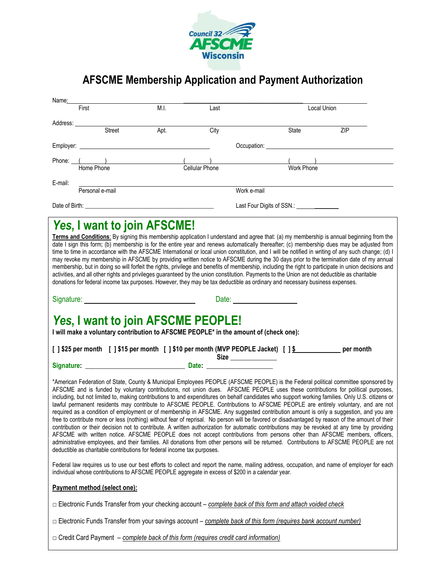

## **AFSCME Membership Application and Payment Authorization**

| Name:                                                                                                                                                                                                                                                                                                                                                                                                                                                                                                                                                                                                                                                                                                                                                                                                                                                                                                                                                                                                                                                                                                                                                                                                                                                                                                                                                       |                                                                                                                                                                                                                                          |      |                                            |                |             |  |
|-------------------------------------------------------------------------------------------------------------------------------------------------------------------------------------------------------------------------------------------------------------------------------------------------------------------------------------------------------------------------------------------------------------------------------------------------------------------------------------------------------------------------------------------------------------------------------------------------------------------------------------------------------------------------------------------------------------------------------------------------------------------------------------------------------------------------------------------------------------------------------------------------------------------------------------------------------------------------------------------------------------------------------------------------------------------------------------------------------------------------------------------------------------------------------------------------------------------------------------------------------------------------------------------------------------------------------------------------------------|------------------------------------------------------------------------------------------------------------------------------------------------------------------------------------------------------------------------------------------|------|--------------------------------------------|----------------|-------------|--|
|                                                                                                                                                                                                                                                                                                                                                                                                                                                                                                                                                                                                                                                                                                                                                                                                                                                                                                                                                                                                                                                                                                                                                                                                                                                                                                                                                             | First                                                                                                                                                                                                                                    | M.I. | Last                                       |                | Local Union |  |
|                                                                                                                                                                                                                                                                                                                                                                                                                                                                                                                                                                                                                                                                                                                                                                                                                                                                                                                                                                                                                                                                                                                                                                                                                                                                                                                                                             | Address: Andreas Address and Address and Address and Address and Address and Address and Address and Address and Address and Address and Address and Address and Address and Address and Address and Address and Address and A<br>Street | Apt. | City                                       | State          | ZIP         |  |
|                                                                                                                                                                                                                                                                                                                                                                                                                                                                                                                                                                                                                                                                                                                                                                                                                                                                                                                                                                                                                                                                                                                                                                                                                                                                                                                                                             |                                                                                                                                                                                                                                          |      |                                            |                |             |  |
| Occupation: <u>contract and contract and contract and contract and contract and contract and contract of the contract of the contract of the contract of the contract of the contract of the contract of the contract of the con</u>                                                                                                                                                                                                                                                                                                                                                                                                                                                                                                                                                                                                                                                                                                                                                                                                                                                                                                                                                                                                                                                                                                                        |                                                                                                                                                                                                                                          |      |                                            |                |             |  |
|                                                                                                                                                                                                                                                                                                                                                                                                                                                                                                                                                                                                                                                                                                                                                                                                                                                                                                                                                                                                                                                                                                                                                                                                                                                                                                                                                             | Phone: ( )<br>Home Phone ( )<br>Cellular Phone                                                                                                                                                                                           |      |                                            | ( ( Vork Phone |             |  |
|                                                                                                                                                                                                                                                                                                                                                                                                                                                                                                                                                                                                                                                                                                                                                                                                                                                                                                                                                                                                                                                                                                                                                                                                                                                                                                                                                             |                                                                                                                                                                                                                                          |      |                                            |                |             |  |
| E-mail:<br>Personal e-mail                                                                                                                                                                                                                                                                                                                                                                                                                                                                                                                                                                                                                                                                                                                                                                                                                                                                                                                                                                                                                                                                                                                                                                                                                                                                                                                                  |                                                                                                                                                                                                                                          |      |                                            | Work e-mail    |             |  |
|                                                                                                                                                                                                                                                                                                                                                                                                                                                                                                                                                                                                                                                                                                                                                                                                                                                                                                                                                                                                                                                                                                                                                                                                                                                                                                                                                             |                                                                                                                                                                                                                                          |      | Last Four Digits of SSN.: ________________ |                |             |  |
| Yes, I want to join AFSCME!<br>Terms and Conditions: By signing this membership application I understand and agree that: (a) my membership is annual beginning from the<br>date I sign this form; (b) membership is for the entire year and renews automatically thereafter; (c) membership dues may be adjusted from<br>time to time in accordance with the AFSCME International or local union constitution, and I will be notified in writing of any such change; (d) I<br>may revoke my membership in AFSCME by providing written notice to AFSCME during the 30 days prior to the termination date of my annual<br>membership, but in doing so will forfeit the rights, privilege and benefits of membership, including the right to participate in union decisions and<br>activities, and all other rights and privileges guaranteed by the union constitution. Payments to the Union are not deductible as charitable<br>donations for federal income tax purposes. However, they may be tax deductible as ordinary and necessary business expenses.<br>Date: <u>_____________________</u>                                                                                                                                                                                                                                                           |                                                                                                                                                                                                                                          |      |                                            |                |             |  |
|                                                                                                                                                                                                                                                                                                                                                                                                                                                                                                                                                                                                                                                                                                                                                                                                                                                                                                                                                                                                                                                                                                                                                                                                                                                                                                                                                             |                                                                                                                                                                                                                                          |      |                                            |                |             |  |
| Yes, I want to join AFSCME PEOPLE!<br>I will make a voluntary contribution to AFSCME PEOPLE* in the amount of (check one):                                                                                                                                                                                                                                                                                                                                                                                                                                                                                                                                                                                                                                                                                                                                                                                                                                                                                                                                                                                                                                                                                                                                                                                                                                  |                                                                                                                                                                                                                                          |      |                                            |                |             |  |
| [] \$25 per month [] \$15 per month [] \$10 per month (MVP PEOPLE Jacket) [] \$ ___________ per month<br>Size                                                                                                                                                                                                                                                                                                                                                                                                                                                                                                                                                                                                                                                                                                                                                                                                                                                                                                                                                                                                                                                                                                                                                                                                                                               |                                                                                                                                                                                                                                          |      |                                            |                |             |  |
|                                                                                                                                                                                                                                                                                                                                                                                                                                                                                                                                                                                                                                                                                                                                                                                                                                                                                                                                                                                                                                                                                                                                                                                                                                                                                                                                                             |                                                                                                                                                                                                                                          |      |                                            |                |             |  |
| *American Federation of State, County & Municipal Employees PEOPLE (AFSCME PEOPLE) is the Federal political committee sponsored by<br>AFSCME and is funded by voluntary contributions, not union dues. AFSCME PEOPLE uses these contributions for political purposes,<br>including, but not limited to, making contributions to and expenditures on behalf candidates who support working families. Only U.S. citizens or<br>lawful permanent residents may contribute to AFSCME PEOPLE. Contributions to AFSCME PEOPLE are entirely voluntary, and are not<br>required as a condition of employment or of membership in AFSCME. Any suggested contribution amount is only a suggestion, and you are<br>free to contribute more or less (nothing) without fear of reprisal. No person will be favored or disadvantaged by reason of the amount of their<br>contribution or their decision not to contribute. A written authorization for automatic contributions may be revoked at any time by providing<br>AFSCME with written notice. AFSCME PEOPLE does not accept contributions from persons other than AFSCME members, officers,<br>administrative employees, and their families. All donations from other persons will be returned. Contributions to AFSCME PEOPLE are not<br>deductible as charitable contributions for federal income tax purposes. |                                                                                                                                                                                                                                          |      |                                            |                |             |  |
| Federal law requires us to use our best efforts to collect and report the name, mailing address, occupation, and name of employer for each<br>individual whose contributions to AFSCME PEOPLE aggregate in excess of \$200 in a calendar year.                                                                                                                                                                                                                                                                                                                                                                                                                                                                                                                                                                                                                                                                                                                                                                                                                                                                                                                                                                                                                                                                                                              |                                                                                                                                                                                                                                          |      |                                            |                |             |  |
| Payment method (select one):                                                                                                                                                                                                                                                                                                                                                                                                                                                                                                                                                                                                                                                                                                                                                                                                                                                                                                                                                                                                                                                                                                                                                                                                                                                                                                                                |                                                                                                                                                                                                                                          |      |                                            |                |             |  |
| $\Box$ Electronic Funds Transfer from your checking account – <i>complete back of this form and attach voided check</i>                                                                                                                                                                                                                                                                                                                                                                                                                                                                                                                                                                                                                                                                                                                                                                                                                                                                                                                                                                                                                                                                                                                                                                                                                                     |                                                                                                                                                                                                                                          |      |                                            |                |             |  |
| □ Electronic Funds Transfer from your savings account – complete back of this form (requires bank account number)                                                                                                                                                                                                                                                                                                                                                                                                                                                                                                                                                                                                                                                                                                                                                                                                                                                                                                                                                                                                                                                                                                                                                                                                                                           |                                                                                                                                                                                                                                          |      |                                            |                |             |  |
| □ Credit Card Payment - complete back of this form (requires credit card information)                                                                                                                                                                                                                                                                                                                                                                                                                                                                                                                                                                                                                                                                                                                                                                                                                                                                                                                                                                                                                                                                                                                                                                                                                                                                       |                                                                                                                                                                                                                                          |      |                                            |                |             |  |